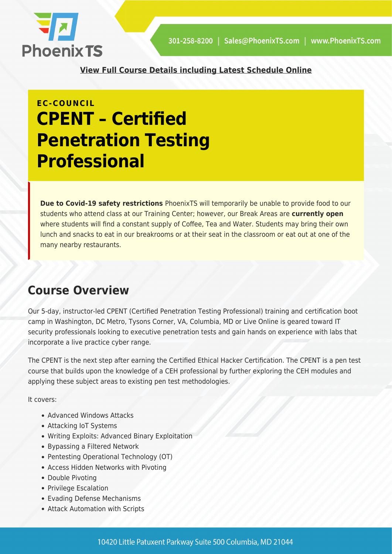

**[View Full Course Details including Latest Schedule Online](https://phoenixts.com/training-courses/cpent-certified-penetration-testing-professional/)**

# **EC-COUNCIL CPENT – Certified Penetration Testing Professional**

**Due to Covid-19 safety restrictions** PhoenixTS will temporarily be unable to provide food to our students who attend class at our Training Center; however, our Break Areas are **currently open** where students will find a constant supply of Coffee, Tea and Water. Students may bring their own lunch and snacks to eat in our breakrooms or at their seat in the classroom or eat out at one of the many nearby restaurants.

### **Course Overview**

Our 5-day, instructor-led CPENT (Certified Penetration Testing Professional) training and certification boot camp in Washington, DC Metro, Tysons Corner, VA, Columbia, MD or Live Online is geared toward IT security professionals looking to executive penetration tests and gain hands on experience with labs that incorporate a live practice cyber range.

The CPENT is the next step after earning the Certified Ethical Hacker Certification. The CPENT is a pen test course that builds upon the knowledge of a CEH professional by further exploring the CEH modules and applying these subject areas to existing pen test methodologies.

It covers:

- Advanced Windows Attacks
- Attacking IoT Systems
- Writing Exploits: Advanced Binary Exploitation
- Bypassing a Filtered Network
- Pentesting Operational Technology (OT)
- Access Hidden Networks with Pivoting
- Double Pivoting
- Privilege Escalation
- Evading Defense Mechanisms
- Attack Automation with Scripts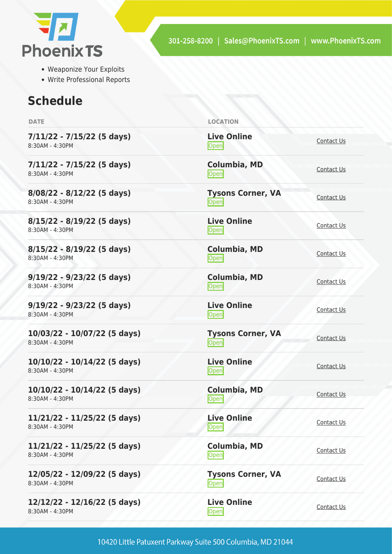

- Weaponize Your Exploits
- Write Professional Reports

## **Schedule**

| <b>DATE</b>                                       | <b>LOCATION</b>                       |                   |
|---------------------------------------------------|---------------------------------------|-------------------|
| $7/11/22 - 7/15/22$ (5 days)<br>8:30AM - 4:30PM   | <b>Live Online</b><br>Open            | Contact Us        |
| $7/11/22 - 7/15/22$ (5 days)<br>8:30AM - 4:30PM   | Columbia, MD<br>Open                  | Contact Us        |
| $8/08/22 - 8/12/22$ (5 days)<br>8:30AM - 4:30PM   | <b>Tysons Corner, VA</b><br>Open      | Contact Us        |
| $8/15/22 - 8/19/22$ (5 days)<br>8:30AM - 4:30PM   | <b>Live Online</b><br>Open            | Contact Us        |
| $8/15/22 - 8/19/22$ (5 days)<br>8:30AM - 4:30PM   | Columbia, MD<br>Open                  | Contact Us        |
| $9/19/22 - 9/23/22$ (5 days)<br>8:30AM - 4:30PM   | <b>Columbia, MD</b><br>Open           | Contact Us        |
| $9/19/22 - 9/23/22$ (5 days)<br>8:30AM - 4:30PM   | <b>Live Online</b><br>Open            | Contact Us        |
| 10/03/22 - 10/07/22 (5 days)<br>8:30AM - 4:30PM   | <b>Tysons Corner, VA</b><br>Open      | Contact Us        |
| 10/10/22 - 10/14/22 (5 days)<br>8:30AM - 4:30PM   | <b>Live Online</b><br>$\mathsf{Open}$ | Contact Us        |
| $10/10/22 - 10/14/22$ (5 days)<br>8:30AM - 4:30PM | <b>Columbia, MD</b><br>Open           | Contact Us        |
| 11/21/22 - 11/25/22 (5 days)<br>8:30AM - 4:30PM   | <b>Live Online</b><br>Open            | Contact Us        |
| 11/21/22 - 11/25/22 (5 days)<br>8:30AM - 4:30PM   | Columbia, MD<br>Open                  | <b>Contact Us</b> |
| 12/05/22 - 12/09/22 (5 days)<br>8:30AM - 4:30PM   | <b>Tysons Corner, VA</b><br>Open      | Contact Us        |
| 12/12/22 - 12/16/22 (5 days)<br>8:30AM - 4:30PM   | <b>Live Online</b><br><b>Open</b>     | Contact Us        |
|                                                   |                                       |                   |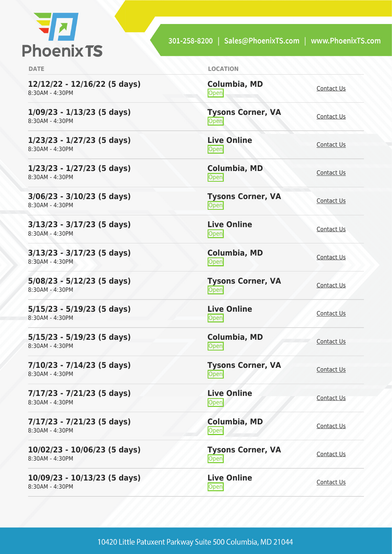

301-258-8200 | Sales@PhoenixTS.com | www.PhoenixTS.com

**12/12/22 - 12/16/22 (5 days)** 8:30AM - 4:30PM

**1/09/23 - 1/13/23 (5 days)** 8:30AM - 4:30PM

**1/23/23 - 1/27/23 (5 days)** 8:30AM - 4:30PM

**1/23/23 - 1/27/23 (5 days)** 8:30AM - 4:30PM

**3/06/23 - 3/10/23 (5 days)** 8:30AM - 4:30PM

**3/13/23 - 3/17/23 (5 days)** 8:30AM - 4:30PM

**3/13/23 - 3/17/23 (5 days)** 8:30AM - 4:30PM

**5/08/23 - 5/12/23 (5 days)** 8:30AM - 4:30PM

**5/15/23 - 5/19/23 (5 days)** 8:30AM - 4:30PM

**5/15/23 - 5/19/23 (5 days)** 8:30AM - 4:30PM

**7/10/23 - 7/14/23 (5 days)** 8:30AM - 4:30PM

**7/17/23 - 7/21/23 (5 days)** 8:30AM - 4:30PM

**7/17/23 - 7/21/23 (5 days)** 8:30AM - 4:30PM

**10/02/23 - 10/06/23 (5 days)** 8:30AM - 4:30PM

**10/09/23 - 10/13/23 (5 days)** 8:30AM - 4:30PM

**DATE LOCATION**

**Columbia, MD [Contact Us](https://phoenixts.com/schedule/more-info/?class=22304)**<br> **Open** 

**Tysons Corner, VA Open** [Contact Us](https://phoenixts.com/schedule/more-info/?class=28781) Contact Us

**Live Online** <u>[Contact Us](https://phoenixts.com/schedule/more-info/?class=28800)</u>

**Columbia, MD** [Contact Us](https://phoenixts.com/schedule/more-info/?class=28801)<br>Open

**Tysons Corner, VA Open** [Contact Us](https://phoenixts.com/schedule/more-info/?class=28783)

**Live Online** <u>Open</u> [Contact Us](https://phoenixts.com/schedule/more-info/?class=28792)

**Columbia, MD** [Contact Us](https://phoenixts.com/schedule/more-info/?class=28802)<br>Open

**Tysons Corner, VA Open** [Contact Us](https://phoenixts.com/schedule/more-info/?class=28784)

**Live Online** <u>Open</u> [Contact Us](https://phoenixts.com/schedule/more-info/?class=28797)

**Columbia, MD** [Contact Us](https://phoenixts.com/schedule/more-info/?class=28803)<br>Open

**Tysons Corner, VA Open** [Contact Us](https://phoenixts.com/schedule/more-info/?class=28786) Contact Us

**Live Online Open** [Contact Us](https://phoenixts.com/schedule/more-info/?class=28799)

**Columbia, MD** [Contact Us](https://phoenixts.com/schedule/more-info/?class=28804)<br>Open Contact Us **Tysons Corner, VA**

**Open** [Contact Us](https://phoenixts.com/schedule/more-info/?class=28788)

**Live Online** <u>Open</u> [Contact Us](https://phoenixts.com/schedule/more-info/?class=28794)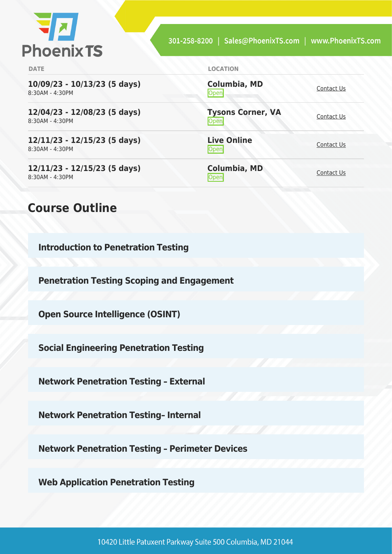

**[Contact Us](https://phoenixts.com/schedule/more-info/?class=28805)** 

**Open** [Contact Us](https://phoenixts.com/schedule/more-info/?class=28790)

<u>[Contact Us](https://phoenixts.com/schedule/more-info/?class=28795)</u>

[Contact Us](https://phoenixts.com/schedule/more-info/?class=28806)<br>
Open

**Columbia, MD**

**Live Online**

**Columbia, MD**

**Tysons Corner, VA**

**DATE LOCATION**

**10/09/23 - 10/13/23 (5 days)** 8:30AM - 4:30PM

**12/04/23 - 12/08/23 (5 days)** 8:30AM - 4:30PM

**12/11/23 - 12/15/23 (5 days)** 8:30AM - 4:30PM

**12/11/23 - 12/15/23 (5 days)** 8:30AM - 4:30PM

#### **Course Outline**

**Introduction to Penetration Testing**

**Penetration Testing Scoping and Engagement**

**Open Source Intelligence (OSINT)**

**Social Engineering Penetration Testing**

**Network Penetration Testing – External**

**Network Penetration Testing– Internal**

**Network Penetration Testing – Perimeter Devices**

**Web Application Penetration Testing**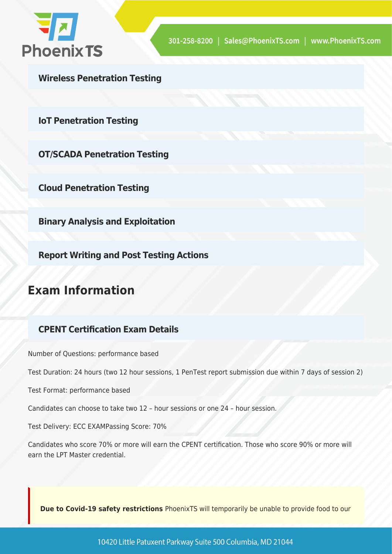

**Wireless Penetration Testing**

**IoT Penetration Testing**

**OT/SCADA Penetration Testing**

**Cloud Penetration Testing**

**Binary Analysis and Exploitation**

**Report Writing and Post Testing Actions**

### **Exam Information**

#### **CPENT Certification Exam Details**

Number of Questions: performance based

Test Duration: 24 hours (two 12 hour sessions, 1 PenTest report submission due within 7 days of session 2)

Test Format: performance based

Candidates can choose to take two 12 – hour sessions or one 24 – hour session.

Test Delivery: ECC EXAMPassing Score: 70%

Candidates who score 70% or more will earn the CPENT certification. Those who score 90% or more will earn the LPT Master credential.

**Due to Covid-19 safety restrictions** PhoenixTS will temporarily be unable to provide food to our

10420 Little Patuxent Parkway Suite 500 Columbia, MD 21044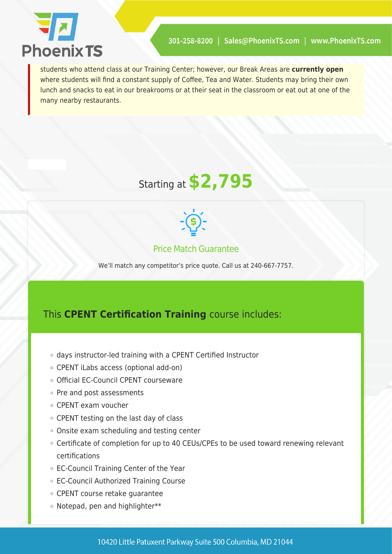

students who attend class at our Training Center; however, our Break Areas are **currently open** where students will find a constant supply of Coffee, Tea and Water. Students may bring their own lunch and snacks to eat in our breakrooms or at their seat in the classroom or eat out at one of the many nearby restaurants.





#### Price Match Guarantee

We'll match any competitor's price quote. Call us at 240-667-7757.

#### This **CPENT Certification Training** course includes:

- days instructor-led training with a CPENT Certified Instructor
- CPENT iLabs access (optional add-on)
- Official EC-Council CPENT courseware
- o Pre and post assessments
- CPENT exam voucher
- CPENT testing on the last day of class
- Onsite exam scheduling and testing center
- Certificate of completion for up to 40 CEUs/CPEs to be used toward renewing relevant certifications
- EC-Council Training Center of the Year
- EC-Council Authorized Training Course
- CPENT course retake guarantee
- Notepad, pen and highlighter\*\*